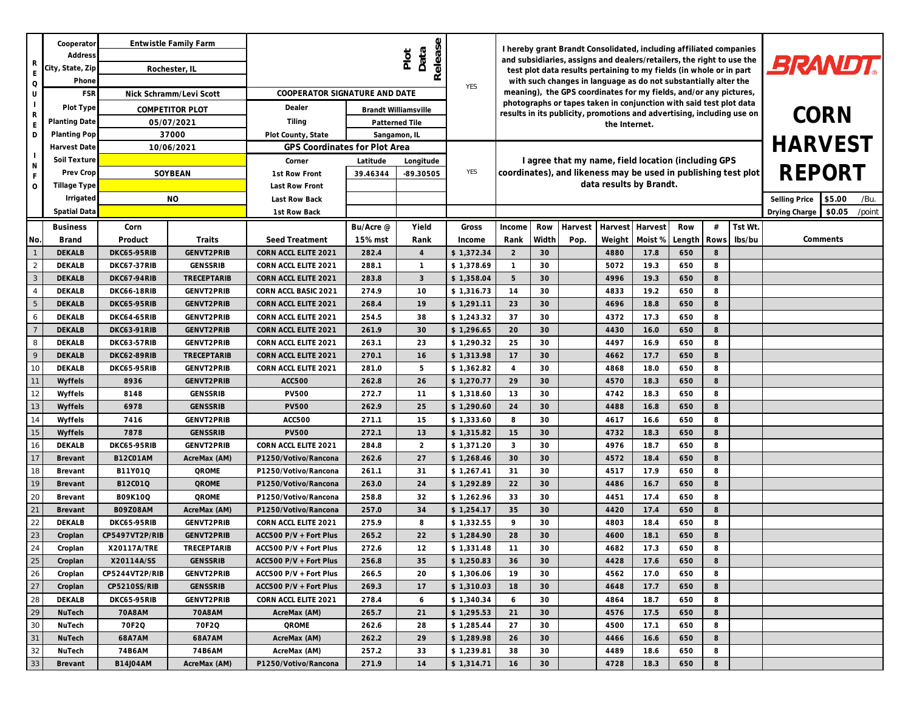| R<br>E<br>$\mathsf O$<br>U<br>$\mathsf{R}$<br>E<br>D<br>$\mathbb N$<br>F | Cooperator<br><b>Address</b> | Entwistle Family Farm          |                           | Release<br>Data<br>Plot                          |                |                                                                                                                                      |                          | I hereby grant Brandt Consolidated, including affiliated companies<br>and subsidiaries, assigns and dealers/retailers, the right to use the<br>test plot data results pertaining to my fields (in whole or in part |                                   |                                                                                                                                              |              |                                 |            |            |         |                |
|--------------------------------------------------------------------------|------------------------------|--------------------------------|---------------------------|--------------------------------------------------|----------------|--------------------------------------------------------------------------------------------------------------------------------------|--------------------------|--------------------------------------------------------------------------------------------------------------------------------------------------------------------------------------------------------------------|-----------------------------------|----------------------------------------------------------------------------------------------------------------------------------------------|--------------|---------------------------------|------------|------------|---------|----------------|
|                                                                          | City, State, Zip             | Rochester, IL                  |                           |                                                  |                |                                                                                                                                      | <b>BRANDT.</b>           |                                                                                                                                                                                                                    |                                   |                                                                                                                                              |              |                                 |            |            |         |                |
|                                                                          | Phone                        |                                |                           |                                                  |                | with such changes in language as do not substantially alter the<br>meaning), the GPS coordinates for my fields, and/or any pictures, |                          |                                                                                                                                                                                                                    |                                   |                                                                                                                                              |              |                                 |            |            |         |                |
|                                                                          | FSF                          | Nick Schramm/Levi Scott        |                           | COOPERATOR SIGNATURE AND DATE                    |                |                                                                                                                                      |                          |                                                                                                                                                                                                                    |                                   |                                                                                                                                              |              |                                 |            | <b>YES</b> |         |                |
|                                                                          | Plot Type                    | COMPETITOR PLOT                |                           | Dealer                                           |                | Brandt Williamsville                                                                                                                 |                          |                                                                                                                                                                                                                    |                                   | photographs or tapes taken in conjunction with said test plot data<br>results in its publicity, promotions and advertising, including use on |              |                                 |            |            |         |                |
|                                                                          | Planting Date                | 05/07/2021                     |                           | Tiling                                           |                | Patterned Tile                                                                                                                       |                          |                                                                                                                                                                                                                    |                                   |                                                                                                                                              | CORN         |                                 |            |            |         |                |
|                                                                          | Planting Pop                 | 37000                          |                           | Plot County, State                               | Sangamon, IL   |                                                                                                                                      |                          |                                                                                                                                                                                                                    |                                   |                                                                                                                                              |              |                                 |            |            |         |                |
|                                                                          | Harvest Date                 | 10/06/2021                     |                           | GPS Coordinates for Plot Area                    |                |                                                                                                                                      |                          |                                                                                                                                                                                                                    |                                   |                                                                                                                                              |              |                                 |            |            |         | <b>HARVEST</b> |
|                                                                          | Soil Texture                 | SOYBEAN                        |                           | Corner                                           | Latitude       | Longitude                                                                                                                            |                          | I agree that my name, field location (including GPS                                                                                                                                                                |                                   |                                                                                                                                              |              |                                 |            |            |         |                |
|                                                                          | Prev Crop                    |                                |                           | 1st Row Front                                    | 39.46344       | -89.30505                                                                                                                            | YES                      |                                                                                                                                                                                                                    |                                   | coordinates), and likeness may be used in publishing test plot                                                                               | REPORT       |                                 |            |            |         |                |
| $\circ$                                                                  | Tillage Type                 |                                |                           | Last Row Front                                   |                |                                                                                                                                      |                          |                                                                                                                                                                                                                    |                                   | data results by Brandt.                                                                                                                      |              |                                 |            |            |         |                |
|                                                                          | Irrigated                    | <b>NO</b>                      |                           | Last Row Back                                    |                |                                                                                                                                      |                          |                                                                                                                                                                                                                    |                                   |                                                                                                                                              |              | Selling Price<br>\$5.00<br>/Bu. |            |            |         |                |
|                                                                          | Spatial Dat                  |                                |                           | 1st Row Back                                     |                |                                                                                                                                      |                          |                                                                                                                                                                                                                    | \$0.05<br>/point<br>Drying Charge |                                                                                                                                              |              |                                 |            |            |         |                |
|                                                                          | <b>Business</b>              | Corn                           |                           |                                                  | Bu/Acre @      | Yield                                                                                                                                | Gross                    | Income                                                                                                                                                                                                             | Row                               | Harvest                                                                                                                                      | Harvest      | Harvest                         | Row        | #          | Tst Wt. |                |
| No.                                                                      | <b>Brand</b>                 | Product                        | Traits                    | Seed Treatment                                   | 15% mst        | Rank                                                                                                                                 | Income                   | Rank                                                                                                                                                                                                               | Width                             | Pop.                                                                                                                                         | Weight       | Moist %                         | Length     | Rows       | lbs/bu  | Comments       |
|                                                                          | <b>DEKALB</b>                | DKC65-95RIB                    | GENVT2PRIB                | CORN ACCL ELITE 2021                             | 282.4          | $\overline{4}$                                                                                                                       | \$1,372.34               | 2                                                                                                                                                                                                                  | 30                                |                                                                                                                                              | 4880         | 17.8                            | 650        | 8          |         |                |
| 2                                                                        | DEKALB                       | DKC67-37RIB                    | GENSSRIB                  | CORN ACCL ELITE 2021                             | 288.1          | $\mathbf{1}$                                                                                                                         | \$1,378.69               | $\overline{1}$                                                                                                                                                                                                     | 30                                |                                                                                                                                              | 5072         | 19.3                            | 650        | 8          |         |                |
| 3                                                                        | <b>DEKALB</b>                | DKC67-94RIB                    | TRECEPTARIB               | CORN ACCL ELITE 2021                             | 283.8          | 3                                                                                                                                    | \$1,358.04               | 5                                                                                                                                                                                                                  | 30                                |                                                                                                                                              | 4996         | 19.3                            | 650        | 8          |         |                |
| $\overline{4}$                                                           | DEKALB                       | <b>DKC66-18RIB</b>             | GENVT2PRIB                | CORN ACCL BASIC 2021                             | 274.9          | 10                                                                                                                                   | \$1,316.73               | 14                                                                                                                                                                                                                 | 30                                |                                                                                                                                              | 4833         | 19.2                            | 650        | 8          |         |                |
| 5                                                                        | <b>DEKALB</b>                | DKC65-95RIB                    | GENVT2PRIB                | CORN ACCL ELITE 2021                             | 268.4          | 19                                                                                                                                   | \$1,291.11               | 23                                                                                                                                                                                                                 | 30                                |                                                                                                                                              | 4696         | 18.8                            | 650        | 8          |         |                |
| 6                                                                        | DEKALB                       | DKC64-65RIB                    | GENVT2PRIB                | CORN ACCL ELITE 2021                             | 254.5          | 38                                                                                                                                   | \$1,243.32               | 37                                                                                                                                                                                                                 | 30                                |                                                                                                                                              | 4372         | 17.3                            | 650        | 8          |         |                |
|                                                                          | <b>DEKALB</b>                | DKC63-91RIB                    | GENVT2PRIB                | CORN ACCL ELITE 2021                             | 261.9          | 30                                                                                                                                   | \$1,296.65               | 20                                                                                                                                                                                                                 | 30                                |                                                                                                                                              | 4430         | 16.0                            | 650        | 8          |         |                |
| 8                                                                        | DEKALB                       | DKC63-57RIB                    | GENVT2PRIB                | CORN ACCL ELITE 2021                             | 263.1          | 23                                                                                                                                   | \$1,290.32               | 25                                                                                                                                                                                                                 | 30                                |                                                                                                                                              | 4497         | 16.9                            | 650        | 8          |         |                |
| 9                                                                        | <b>DEKALB</b>                | DKC62-89RIB                    | TRECEPTARIB               | CORN ACCL ELITE 2021                             | 270.1          | 16                                                                                                                                   | \$1,313.98               | 17                                                                                                                                                                                                                 | 30                                |                                                                                                                                              | 4662         | 17.7                            | 650        | 8          |         |                |
| 10                                                                       | DEKALB                       | DKC65-95RIB                    | GENVT2PRIB                | CORN ACCL ELITE 2021                             | 281.0          | 5                                                                                                                                    | \$1,362.82               | $\overline{4}$                                                                                                                                                                                                     | 30                                |                                                                                                                                              | 4868         | 18.0                            | 650        | 8          |         |                |
|                                                                          | Wyffels                      | 8936                           | GENVT2PRIB                | ACC500                                           | 262.8          | 26                                                                                                                                   | \$1,270.77               | 29                                                                                                                                                                                                                 | 30                                |                                                                                                                                              | 4570         | 18.3                            | 650        | 8          |         |                |
| 12                                                                       | Wyffels                      | 8148                           | GENSSRIB                  | <b>PV500</b>                                     | 272.7          | 11                                                                                                                                   | \$1,318.60               | 13                                                                                                                                                                                                                 | 30                                |                                                                                                                                              | 4742         | 18.3                            | 650        | 8          |         |                |
| 13                                                                       | Wyffels                      | 6978                           | GENSSRIB                  | <b>PV500</b>                                     | 262.9          | 25                                                                                                                                   | \$1,290.60               | 24                                                                                                                                                                                                                 | 30                                |                                                                                                                                              | 4488         | 16.8                            | 650        | 8          |         |                |
| 14                                                                       | Wyffels                      | 7416                           | GENVT2PRIB                | <b>ACC500</b>                                    | 271.1          | 15                                                                                                                                   | \$1,333.60               | 8                                                                                                                                                                                                                  | 30                                |                                                                                                                                              | 4617         | 16.6                            | 650        | 8          |         |                |
| 15                                                                       | Wyffels                      | 7878                           | GENSSRIB                  | <b>PV500</b>                                     | 272.1          | 13                                                                                                                                   | \$1,315.82               | 15                                                                                                                                                                                                                 | 30                                |                                                                                                                                              | 4732         | 18.3                            | 650        | 8          |         |                |
| 16                                                                       | DEKALB                       | DKC65-95RIB                    | GENVT2PRIB                | CORN ACCL ELITE 2021                             | 284.8          | $\overline{2}$                                                                                                                       | \$1,371.20               | 3                                                                                                                                                                                                                  | 30                                |                                                                                                                                              | 4976         | 18.7                            | 650        | 8          |         |                |
| 17                                                                       | Brevant                      | <b>B12CO1AM</b>                | AcreMax (AM)              | P1250/Votivo/Rancona                             | 262.6          | 27                                                                                                                                   | \$1,268.46               | 30                                                                                                                                                                                                                 | 30                                |                                                                                                                                              | 4572         | 18.4                            | 650        | 8          |         |                |
| 18                                                                       | Brevant                      | B11Y01Q                        | <b>QROME</b>              | P1250/Votivo/Rancona                             | 261.1          | 31                                                                                                                                   | \$1,267.41               | 31                                                                                                                                                                                                                 | 30                                |                                                                                                                                              | 4517         | 17.9                            | 650        | 8          |         |                |
| 19                                                                       | Brevant                      | B12CO1Q                        | <b>QROME</b>              | P1250/Votivo/Rancona                             | 263.0          | 24                                                                                                                                   | \$1,292.89               | 22                                                                                                                                                                                                                 | 30                                |                                                                                                                                              | 4486         | 16.7                            | 650        | 8          |         |                |
| 20                                                                       | Brevant                      | B09K10Q                        | <b>QROME</b>              | P1250/Votivo/Rancona                             | 258.8          | 32                                                                                                                                   | \$1,262.96               | 33                                                                                                                                                                                                                 | 30                                |                                                                                                                                              | 4451         | 17.4                            | 650        | 8          |         |                |
| 21                                                                       | Brevant                      | B09Z08AM                       | AcreMax (AM)              | P1250/Votivo/Rancona                             | 257.0          | 34                                                                                                                                   | \$1,254.17               | 35                                                                                                                                                                                                                 | 30                                |                                                                                                                                              | 4420         | 17.4                            | 650        | 8          |         |                |
| 22                                                                       | DEKALB                       | DKC65-95RIB                    | GENVT2PRIB                | CORN ACCL ELITE 2021                             | 275.9          | 8                                                                                                                                    | \$1,332.55               | 9                                                                                                                                                                                                                  | 30                                |                                                                                                                                              | 4803         | 18.4                            | 650        | 8          |         |                |
| 23<br>24                                                                 | Croplan                      | CP5497VT2P/RIB                 | GENVT2PRIB<br>TRECEPTARIB | ACC500 P/V + Fort Plus                           | 265.2          | 22<br>12                                                                                                                             | \$1,284.90               | 28<br>11                                                                                                                                                                                                           | 30<br>30                          |                                                                                                                                              | 4600         | 18.1<br>17.3                    | 650<br>650 | 8<br>8     |         |                |
| 25                                                                       | Croplan                      | X20117A/TRE                    |                           | ACC500 P/V + Fort Plus                           | 272.6          |                                                                                                                                      | \$1,331.48               |                                                                                                                                                                                                                    |                                   |                                                                                                                                              | 4682         |                                 |            | 8          |         |                |
|                                                                          | Croplan                      | X20114A/SS                     | GENSSRIB                  | ACC500 P/V + Fort Plus                           | 256.8          | 35                                                                                                                                   | \$1,250.83               | 36                                                                                                                                                                                                                 | 30                                |                                                                                                                                              | 4428         | 17.6                            | 650        |            |         |                |
| 26<br>27                                                                 | Croplan                      | CP5244VT2P/RIB<br>CP5210SS/RIB | GENVT2PRIB<br>GENSSRIB    | ACC500 P/V + Fort Plus<br>ACC500 P/V + Fort Plus | 266.5<br>269.3 | 20<br>17                                                                                                                             | \$1,306.06<br>\$1,310.03 | 19<br>18                                                                                                                                                                                                           | 30<br>30                          |                                                                                                                                              | 4562<br>4648 | 17.0<br>17.7                    | 650<br>650 | 8<br>8     |         |                |
| 28                                                                       | Croplan<br>DEKALB            | DKC65-95RIB                    | GENVT2PRIB                | CORN ACCL ELITE 2021                             | 278.4          | 6                                                                                                                                    |                          | 6                                                                                                                                                                                                                  | 30                                |                                                                                                                                              | 4864         | 18.7                            | 650        | 8          |         |                |
| 29                                                                       | NuTech                       | 70A8AM                         | 70A8AM                    | AcreMax (AM)                                     | 265.7          | 21                                                                                                                                   | \$1,340.34<br>\$1,295.53 | 21                                                                                                                                                                                                                 | 30                                |                                                                                                                                              | 4576         | 17.5                            | 650        | 8          |         |                |
| 30                                                                       | NuTech                       | 70F2Q                          | 70F2Q                     | QROME                                            | 262.6          | 28                                                                                                                                   | \$1,285.44               | 27                                                                                                                                                                                                                 | 30                                |                                                                                                                                              | 4500         | 17.1                            | 650        | 8          |         |                |
| 31                                                                       | NuTech                       | 68A7AM                         | 68A7AM                    | AcreMax (AM)                                     | 262.2          | 29                                                                                                                                   | \$1,289.98               | 26                                                                                                                                                                                                                 | 30                                |                                                                                                                                              | 4466         | 16.6                            | 650        | 8          |         |                |
| 32                                                                       | NuTech                       | 74B6AM                         | 74B6AM                    | AcreMax (AM)                                     | 257.2          | 33                                                                                                                                   | \$1,239.81               | 38                                                                                                                                                                                                                 | 30                                |                                                                                                                                              | 4489         | 18.6                            | 650        | 8          |         |                |
| $33\,$                                                                   | Brevant                      | <b>B14J04AM</b>                | AcreMax (AM)              | P1250/Votivo/Rancona                             | 271.9          | 14                                                                                                                                   | \$1,314.71               | 16                                                                                                                                                                                                                 | 30                                |                                                                                                                                              | 4728         | 18.3                            | 650        | 8          |         |                |
|                                                                          |                              |                                |                           |                                                  |                |                                                                                                                                      |                          |                                                                                                                                                                                                                    |                                   |                                                                                                                                              |              |                                 |            |            |         |                |